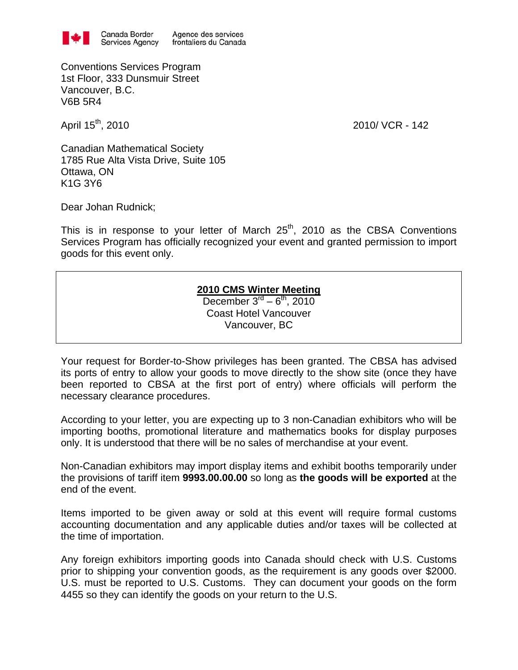

Conventions Services Program 1st Floor, 333 Dunsmuir Street Vancouver, B.C. V6B 5R4

April 15<sup>th</sup>, 2010 2010/ 2010 2010/ VCR - 142

Canadian Mathematical Society 1785 Rue Alta Vista Drive, Suite 105 Ottawa, ON K1G 3Y6

Dear Johan Rudnick;

This is in response to your letter of March  $25<sup>th</sup>$ , 2010 as the CBSA Conventions Services Program has officially recognized your event and granted permission to import goods for this event only.

## **2010 CMS Winter Meeting**

December  $3^{\text{rd}} - 6^{\text{th}}$ , 2010 Coast Hotel Vancouver Vancouver, BC

Your request for Border-to-Show privileges has been granted. The CBSA has advised its ports of entry to allow your goods to move directly to the show site (once they have been reported to CBSA at the first port of entry) where officials will perform the necessary clearance procedures.

According to your letter, you are expecting up to 3 non-Canadian exhibitors who will be importing booths, promotional literature and mathematics books for display purposes only. It is understood that there will be no sales of merchandise at your event.

Non-Canadian exhibitors may import display items and exhibit booths temporarily under the provisions of tariff item **9993.00.00.00** so long as **the goods will be exported** at the end of the event.

Items imported to be given away or sold at this event will require formal customs accounting documentation and any applicable duties and/or taxes will be collected at the time of importation.

Any foreign exhibitors importing goods into Canada should check with U.S. Customs prior to shipping your convention goods, as the requirement is any goods over \$2000. U.S. must be reported to U.S. Customs. They can document your goods on the form 4455 so they can identify the goods on your return to the U.S.